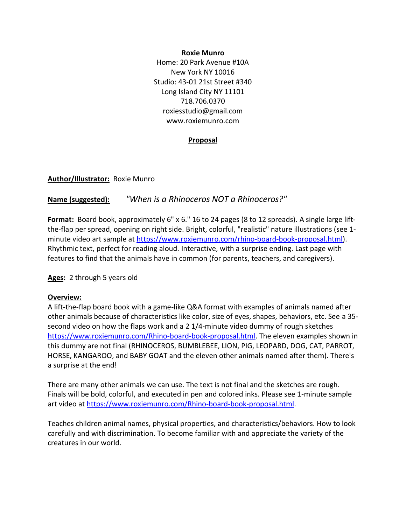#### **Roxie Munro**

Home: 20 Park Avenue #10A New York NY 10016 Studio: 43-01 21st Street #340 Long Island City NY 11101 718.706.0370 roxiesstudio@gmail.com www.roxiemunro.com

#### **Proposal**

**Author/Illustrator:** Roxie Munro

## **Name (suggested):** *"When is a Rhinoceros NOT a Rhinoceros?"*

**Format:** Board book, approximately 6" x 6." 16 to 24 pages (8 to 12 spreads). A single large liftthe-flap per spread, opening on right side. Bright, colorful, "realistic" nature illustrations (see 1 minute video art sample at [https://www.roxiemunro.com/rhino-board-book-proposal.html\)](https://www.roxiemunro.com/board-book-proposal.html). Rhythmic text, perfect for reading aloud. Interactive, with a surprise ending. Last page with features to find that the animals have in common (for parents, teachers, and caregivers).

**Ages:** 2 through 5 years old

#### **Overview:**

A lift-the-flap board book with a game-like Q&A format with examples of animals named after other animals because of characteristics like color, size of eyes, shapes, behaviors, etc. See a 35 second video on how the flaps work and a 2 1/4-minute video dummy of rough sketches [https://www.roxiemunro.com/Rhino-board-book-proposal.html.](https://www.roxiemunro.com/board-book-proposal.html) The eleven examples shown in this dummy are not final (RHINOCEROS, BUMBLEBEE, LION, PIG, LEOPARD, DOG, CAT, PARROT, HORSE, KANGAROO, and BABY GOAT and the eleven other animals named after them). There's a surprise at the end!

There are many other animals we can use. The text is not final and the sketches are rough. Finals will be bold, colorful, and executed in pen and colored inks. Please see 1-minute sample art video a[t https://www.roxiemunro.com/Rhino-board-book-proposal.html.](https://www.roxiemunro.com/board-book-proposal.html)

Teaches children animal names, physical properties, and characteristics/behaviors. How to look carefully and with discrimination. To become familiar with and appreciate the variety of the creatures in our world.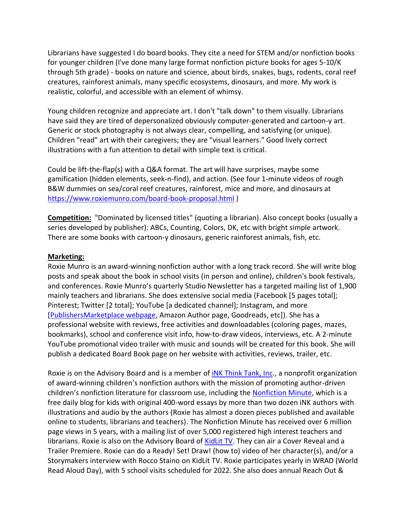Librarians have suggested I do board books. They cite a need for STEM and/or nonfiction books for younger children (I've done many large format nonfiction picture books for ages 5-10/K through 5th grade) - books on nature and science, about birds, snakes, bugs, rodents, coral reef creatures, rainforest animals, many specific ecosystems, dinosaurs, and more. My work is realistic, colorful, and accessible with an element of whimsy.

Young children recognize and appreciate art. I don't "talk down" to them visually. Librarians have said they are tired of depersonalized obviously computer-generated and cartoon-y art. Generic or stock photography is not always clear, compelling, and satisfying (or unique). Children "read" art with their caregivers; they are "visual learners." Good lively correct illustrations with a fun attention to detail with simple text is critical.

Could be lift-the-flap(s) with a Q&A format. The art will have surprises, maybe some gamification (hidden elements, seek-n-find), and action. (See four 1-minute videos of rough B&W dummies on sea/coral reef creatures, rainforest, mice and more, and dinosaurs at <https://www.roxiemunro.com/board-book-proposal.html> )

**Competition:** "Dominated by licensed titles" (quoting a librarian). Also concept books (usually a series developed by publisher): ABCs, Counting, Colors, DK, etc with bright simple artwork. There are some books with cartoon-y dinosaurs, generic rainforest animals, fish, etc.

### **Marketing:**

Roxie Munro is an award-winning nonfiction author with a long track record. She will write blog posts and speak about the book in school visits (in person and online), children's book festivals, and conferences. Roxie Munro's quarterly Studio Newsletter has a targeted mailing list of 1,900 mainly teachers and librarians. She does extensive social media (Facebook [5 pages total]; Pinterest; Twitter [2 total]; YouTube [a dedicated channel]; Instagram, and more [\[PublishersMarketplace webpage,](https://www.publishersmarketplace.com/members/roxiemunro/) Amazon Author page, Goodreads, etc]). She has a professional website with reviews, free activities and downloadables (coloring pages, mazes, bookmarks), school and conference visit info, how-to-draw videos, interviews, etc. A 2-minute YouTube promotional video trailer with music and sounds will be created for this book. She will publish a dedicated Board Book page on her website with activities, reviews, trailer, etc.

Roxie is on the Advisory Board and is a member of *INK Think Tank, Inc.,* a nonprofit organization of award-winning children's nonfiction authors with the mission of promoting author-driven children's nonfiction literature for classroom use, including the [Nonfiction Minute,](https://www.nonfictionminute.org/) which is a free daily blog for kids with original 400-word essays by more than two dozen iNK authors with illustrations and audio by the authors (Roxie has almost a dozen pieces published and available online to students, librarians and teachers). The Nonfiction Minute has received over 6 million page views in 5 years, with a mailing list of over 5,000 registered high interest teachers and librarians. Roxie is also on the Advisory Board o[f KidLit TV.](https://www.kidlit.tv/) They can air a Cover Reveal and a Trailer Premiere. Roxie can do a Ready! Set! Draw! (how to) video of her character(s), and/or a Storymakers interview with Rocco Staino on KidLit TV. Roxie participates yearly in WRAD (World Read Aloud Day), with 5 school visits scheduled for 2022. She also does annual Reach Out &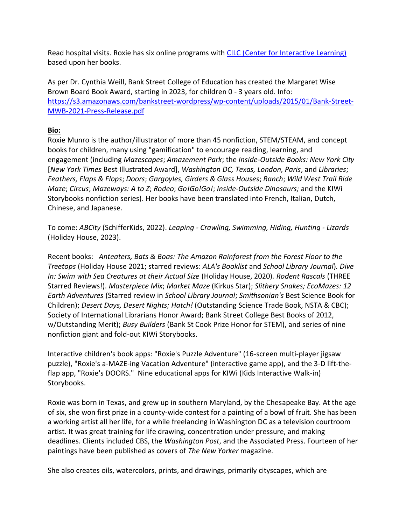Read hospital visits. Roxie has six online programs with [CILC \(Center for Interactive Learning\)](https://www.cilc.org/Dashboard/Content-Providers/Programs.aspx) based upon her books.

As per Dr. Cynthia Weill, Bank Street College of Education has created the Margaret Wise Brown Board Book Award, starting in 2023, for children 0 - 3 years old. Info: [https://s3.amazonaws.com/bankstreet-wordpress/wp-content/uploads/2015/01/Bank-Street-](https://s3.amazonaws.com/bankstreet-wordpress/wp-content/uploads/2015/01/Bank-Street-MWB-2021-Press-Release.pdf)[MWB-2021-Press-Release.pdf](https://s3.amazonaws.com/bankstreet-wordpress/wp-content/uploads/2015/01/Bank-Street-MWB-2021-Press-Release.pdf)

# **Bio:**

Roxie Munro is the author/illustrator of more than 45 nonfiction, STEM/STEAM, and concept books for children, many using "gamification" to encourage reading, learning, and engagement (including *Mazescapes*; *Amazement Park*; the *Inside-Outside Books: New York City* [*New York Times* Best Illustrated Award], *Washington DC, Texas, London, Paris*, and *Libraries*; *Feathers, Flaps & Flops*; *Doors*; *Gargoyles, Girders & Glass Houses*; *Ranch*; *Wild West Trail Ride Maze*; *Circus*; *Mazeways: A to Z*; *Rodeo*; *Go!Go!Go!*; *Inside-Outside Dinosaurs;* and the KIWi Storybooks nonfiction series). Her books have been translated into French, Italian, Dutch, Chinese, and Japanese.

To come: *ABCity* (SchifferKids, 2022). *Leaping - Crawling, Swimming, Hiding, Hunting - Lizards* (Holiday House, 2023).

Recent books: *Anteaters, Bats & Boas: The Amazon Rainforest from the Forest Floor to the Treetops* (Holiday House 2021; starred reviews: *ALA's Booklist* and *School Library Journal*)*. Dive In: Swim with Sea Creatures at their Actual Size* (Holiday House, 2020)*. Rodent Rascals* (THREE Starred Reviews!). *Masterpiece Mix*; *Market Maze* (Kirkus Star); *Slithery Snakes; EcoMazes: 12 Earth Adventures* (Starred review in *School Library Journal*; *Smithsonian's* Best Science Book for Children); *Desert Days, Desert Nights; Hatch!* (Outstanding Science Trade Book, NSTA & CBC); Society of International Librarians Honor Award; Bank Street College Best Books of 2012, w/Outstanding Merit); *Busy Builders* (Bank St Cook Prize Honor for STEM), and series of nine nonfiction giant and fold-out KIWi Storybooks.

Interactive children's book apps: "Roxie's Puzzle Adventure" (16-screen multi-player jigsaw puzzle), "Roxie's a-MAZE-ing Vacation Adventure" (interactive game app), and the 3-D lift-theflap app, "Roxie's DOORS." Nine educational apps for KIWi (Kids Interactive Walk-in) Storybooks.

Roxie was born in Texas, and grew up in southern Maryland, by the Chesapeake Bay. At the age of six, she won first prize in a county-wide contest for a painting of a bowl of fruit. She has been a working artist all her life, for a while freelancing in Washington DC as a television courtroom artist. It was great training for life drawing, concentration under pressure, and making deadlines. Clients included CBS, the *Washington Post*, and the Associated Press. Fourteen of her paintings have been published as covers of *The New Yorker* magazine.

She also creates oils, watercolors, prints, and drawings, primarily cityscapes, which are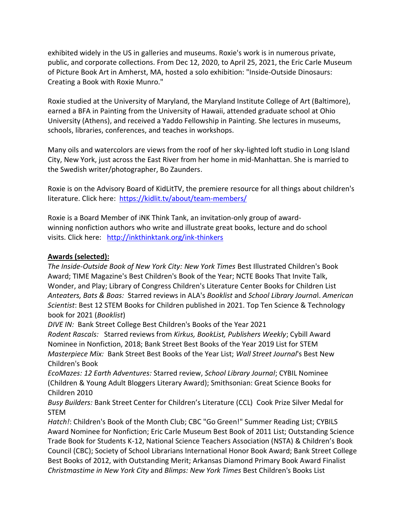exhibited widely in the US in galleries and museums. Roxie's work is in numerous private, public, and corporate collections. From Dec 12, 2020, to April 25, 2021, the Eric Carle Museum of Picture Book Art in Amherst, MA, hosted a solo exhibition: "Inside-Outside Dinosaurs: Creating a Book with Roxie Munro."

Roxie studied at the University of Maryland, the Maryland Institute College of Art (Baltimore), earned a BFA in Painting from the University of Hawaii, attended graduate school at Ohio University (Athens), and received a Yaddo Fellowship in Painting. She lectures in museums, schools, libraries, conferences, and teaches in workshops.

Many oils and watercolors are views from the roof of her sky-lighted loft studio in Long Island City, New York, just across the East River from her home in mid-Manhattan. She is married to the Swedish writer/photographer, Bo Zaunders.

Roxie is on the Advisory Board of KidLitTV, the premiere resource for all things about children's literature. Click here: <https://kidlit.tv/about/team-members/>

Roxie is a Board Member of iNK Think Tank, an invitation-only group of awardwinning nonfiction authors who write and illustrate great books, lecture and do school visits. Click here: [http://inkthinktank.org/ink-thinkers](http://inkthinktank.org/ink-thinkers/)

### **Awards (selected):**

*The Inside-Outside Book of New York City: New York Times* Best Illustrated Children's Book Award; TIME Magazine's Best Children's Book of the Year; NCTE Books That Invite Talk, Wonder, and Play; Library of Congress Children's Literature Center Books for Children List *Anteaters, Bats & Boas:* Starred reviews in ALA's *Booklist* and *School Library Journa*l. *American Scientist*: Best 12 STEM Books for Children published in 2021. Top Ten Science & Technology book for 2021 (*Booklist*)

*DIVE IN:* Bank Street College Best Children's Books of the Year 2021

*Rodent Rascals:* Starred reviews from *Kirkus, BookList, Publishers Weekly*; Cybill Award Nominee in Nonfiction, 2018; Bank Street Best Books of the Year 2019 List for STEM *Masterpiece Mix:* Bank Street Best Books of the Year List; *Wall Street Journal*'s Best New Children's Book

*EcoMazes: 12 Earth Adventures:* Starred review, *School Library Journal*; CYBIL Nominee (Children & Young Adult Bloggers Literary Award); Smithsonian: Great Science Books for Children 2010

*Busy Builders:* Bank Street Center for Children's Literature (CCL) Cook Prize Silver Medal for STEM

*Hatch!*: Children's Book of the Month Club; CBC "Go Green!" Summer Reading List; CYBILS Award Nominee for Nonfiction; Eric Carle Museum Best Book of 2011 List; Outstanding Science Trade Book for Students K-12, National Science Teachers Association (NSTA) & Children's Book Council (CBC); Society of School Librarians International Honor Book Award; Bank Street College Best Books of 2012, with Outstanding Merit; Arkansas Diamond Primary Book Award Finalist *Christmastime in New York City* and *Blimps: New York Times* Best Children's Books List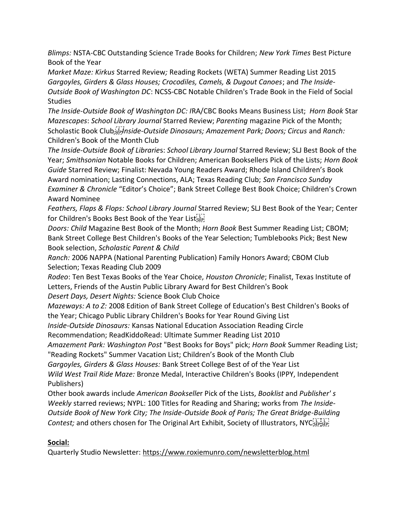*Blimps:* NSTA-CBC Outstanding Science Trade Books for Children; *New York Times* Best Picture Book of the Year

*Market Maze: Kirkus* Starred Review*;* Reading Rockets (WETA) Summer Reading List 2015 *Gargoyles, Girders & Glass Houses; Crocodiles, Camels, & Dugout Canoes*; and *The Inside-Outside Book of Washington DC*: NCSS-CBC Notable Children's Trade Book in the Field of Social **Studies** 

*The Inside-Outside Book of Washington DC: I*RA/CBC Books Means Business List; *Horn Book* Star *Mazescapes*: *School Library Journal* Starred Review; *Parenting* magazine Pick of the Month; Scholastic Book Club *<i>II Inside-Outside Dinosaurs; Amazement Park; Doors; Circus and Ranch:* Children's Book of the Month Club

*The Inside-Outside Book of Librarie*s: *School Library Journal* Starred Review; SLJ Best Book of the Year; *Smithsonian* Notable Books for Children; American Booksellers Pick of the Lists; *Horn Book Guide* Starred Review; Finalist: Nevada Young Readers Award; Rhode Island Children's Book Award nomination; Lasting Connections, ALA; Texas Reading Club; *San Francisco Sunday Examiner & Chronicle* "Editor's Choice"; Bank Street College Best Book Choice; Children's Crown Award Nominee

*Feathers, Flaps & Flops: School Library Journal* Starred Review; SLJ Best Book of the Year; Center for Children's Books Best Book of the Year Listister

*Doors: Child* Magazine Best Book of the Month; *Horn Book* Best Summer Reading List; CBOM; Bank Street College Best Children's Books of the Year Selection; Tumblebooks Pick; Best New Book selection, *Scholastic Parent & Child*

*Ranch:* 2006 NAPPA (National Parenting Publication) Family Honors Award; CBOM Club Selection; Texas Reading Club 2009

*Rodeo*: Ten Best Texas Books of the Year Choice, *Houston Chronicle*; Finalist, Texas Institute of Letters, Friends of the Austin Public Library Award for Best Children's Book

*Desert Days, Desert Nights:* Science Book Club Choice

*Mazeways: A to Z:* 2008 Edition of Bank Street College of Education's Best Children's Books of the Year; Chicago Public Library Children's Books for Year Round Giving List

*Inside-Outside Dinosaurs:* Kansas National Education Association Reading Circle

Recommendation; ReadKiddoRead: Ultimate Summer Reading List 2010

*Amazement Park: Washington Post* "Best Books for Boys" pick; *Horn Book* Summer Reading List; "Reading Rockets" Summer Vacation List; Children's Book of the Month Club

*Gargoyles, Girders & Glass Houses:* Bank Street College Best of of the Year List

*Wild West Trail Ride Maze:* Bronze Medal, Interactive Children's Books (IPPY, Independent Publishers)

Other book awards include *American Bookselle*r Pick of the Lists, *Booklist* and *Publisher' s Weekly* starred reviews; NYPL: 100 Titles for Reading and Sharing; works from *The Inside-Outside Book of New York City; The Inside-Outside Book of Paris; The Great Bridge-Building Contest;* and others chosen for The Original Art Exhibit, Society of Illustrators, NYC<sup>[1717]</sup>

# **Social:**

Quarterly Studio Newsletter:<https://www.roxiemunro.com/newsletterblog.html>